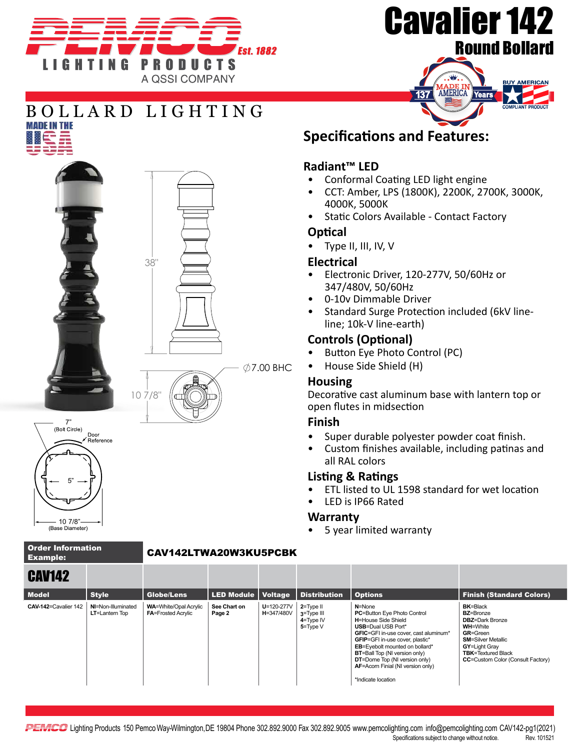





# BOLLARD LIGHTING **MADE IN THE**







# $\varnothing$ 7.00 BHC

## **Specifications and Features:**

#### **Radiant™ LED**

- Conformal Coating LED light engine
- CCT: Amber, LPS (1800K), 2200K, 2700K, 3000K, 4000K, 5000K
- Static Colors Available Contact Factory

#### **Optical**

• Type II, III, IV, V

#### **Electrical**

- Electronic Driver, 120-277V, 50/60Hz or 347/480V, 50/60Hz
- 0-10v Dimmable Driver
- Standard Surge Protection included (6kV lineline; 10k-V line-earth)

#### **Controls (Optional)**

- Button Eye Photo Control (PC)
- House Side Shield (H)

#### **Housing**

Decorative cast aluminum base with lantern top or open flutes in midsection

#### **Finish**

- Super durable polyester powder coat finish.
- Custom finishes available, including patinas and all RAL colors

### **Listing & Ratings**

- ETL listed to UL 1598 standard for wet location
- LED is IP66 Rated

#### **Warranty**

• 5 year limited warranty

| <b>Order Information</b> |  |
|--------------------------|--|
| <b>Example:</b>          |  |

#### CAV142LTWA20W3KU5PCBK

| <b>CAV142</b>        |                                      |                                                           |                        |                                |                                                              |                                                                                                                                                                                                                                                                                                                                                                               |                                                                                                                                                                                                                             |
|----------------------|--------------------------------------|-----------------------------------------------------------|------------------------|--------------------------------|--------------------------------------------------------------|-------------------------------------------------------------------------------------------------------------------------------------------------------------------------------------------------------------------------------------------------------------------------------------------------------------------------------------------------------------------------------|-----------------------------------------------------------------------------------------------------------------------------------------------------------------------------------------------------------------------------|
| <b>Model</b>         | <b>Style</b>                         | Globe/Lens                                                | LED Module   Voltage   |                                | <b>Distribution</b>                                          | <b>Options</b>                                                                                                                                                                                                                                                                                                                                                                | <b>Finish (Standard Colors)</b>                                                                                                                                                                                             |
| CAV-142=Cavalier 142 | NI=Non-Illuminated<br>LT=Lantern Top | <b>WA=White/Opal Acrylic</b><br><b>FA=Frosted Acrylic</b> | See Chart on<br>Page 2 | $U = 120 - 277V$<br>H=347/480V | $2 = Type II$<br>$3 = Type III$<br>$4 = Type IV$<br>5=Type V | $N = None$<br><b>PC=Button Eye Photo Control</b><br><b>H=House Side Shield</b><br><b>USB=Dual USB Port*</b><br>GFIC=GFI in-use cover, cast aluminum*<br><b>GFIP</b> =GFI in-use cover, plastic*<br>EB=Eyebolt mounted on bollard*<br><b>BT=Ball Top (NI version only)</b><br><b>DT</b> =Dome Top (NI version only)<br>AF=Acorn Finial (NI version only)<br>*Indicate location | <b>BK=Black</b><br><b>BZ=Bronze</b><br><b>DBZ=Dark Bronze</b><br><b>WH=White</b><br><b>GR=Green</b><br><b>SM=Silver Metallic</b><br>GY=Light Gray<br><b>TBK</b> =Textured Black<br><b>CC=Custom Color (Consult Factory)</b> |